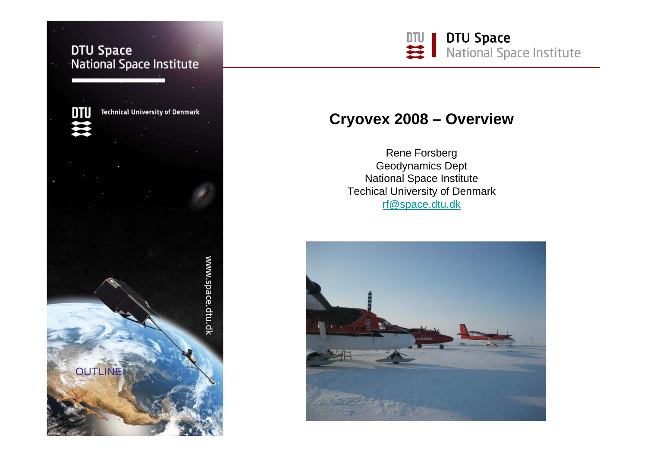## **DTU Space** National Space Institute

**Technical University of Denmark** 

www.space.dtu.dk

DTU

**OUTLINE** 



# **Cryovex 2008 – Overview**

Rene Forsberg Geodynamics Dept National Space Institute Techical University of Denmark [rf@space.dtu.dk](mailto:rf@space.dtu.dk)

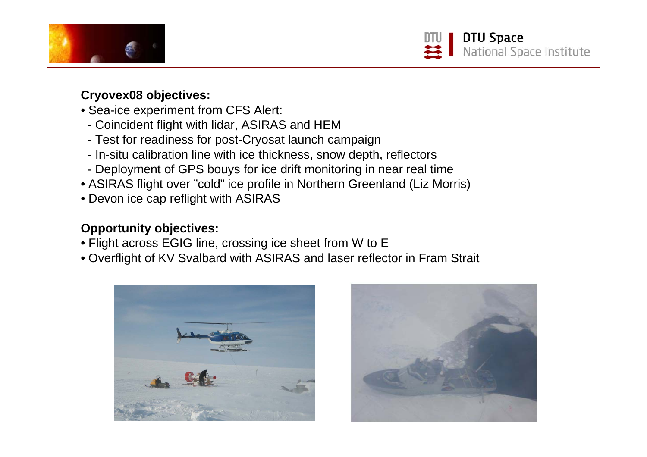



## **Cryovex08 objectives:**

- Sea-ice experiment from CFS Alert:
	- Coincident flight with lidar, ASIRAS and HEM
	- Test for readiness for post-Cryosat launch campaign
	- In-situ calibration line with ice thickness, snow depth, reflectors
	- Deployment of GPS bouys for ice drift monitoring in near real time
- ASIRAS flight over "cold" ice profile in Northern Greenland (Liz Morris)
- Devon ice cap reflight with ASIRAS

## **Opportunity objectives:**

- Flight across EGIG line, crossing ice sheet from W to E
- Overflight of KV Svalbard with ASIRAS and laser reflector in Fram Strait



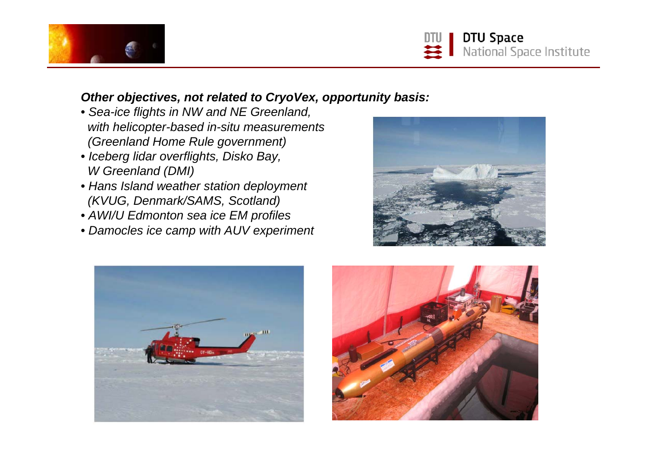



### *Other objectives, not related to CryoVex, opportunity basis:*

- *Sea-ice flights in NW and NE Greenland, with helicopter-based in-situ measurements (Greenland Home Rule government)*
- *Iceberg lidar overflights, Disko Bay, W Greenland (DMI)*
- *Hans Island weather station deployment (KVUG, Denmark/SAMS, Scotland)*
- *AWI/U Edmonton sea ice EM profiles*
- *Damocles ice camp with AUV experiment*





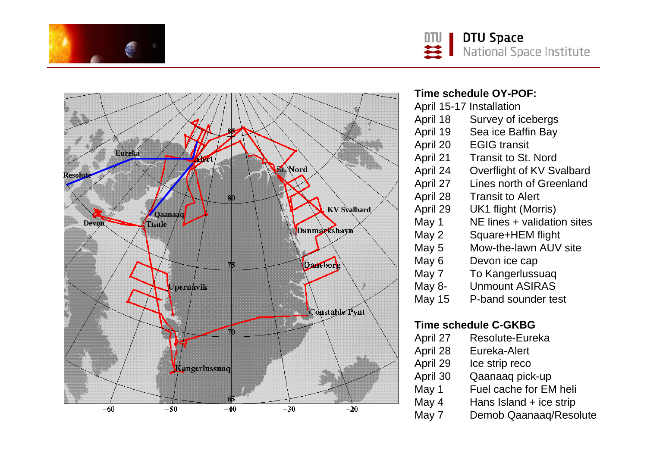





#### **Time schedule OY-POF:**

| April 15-17 Installation |                             |
|--------------------------|-----------------------------|
| April 18                 | Survey of icebergs          |
| April 19                 | Sea ice Baffin Bay          |
| April 20                 | <b>EGIG transit</b>         |
| April 21                 | <b>Transit to St. Nord</b>  |
| April 24                 | Overflight of KV Svalbard   |
| April 27                 | Lines north of Greenland    |
| April 28                 | <b>Transit to Alert</b>     |
| April 29                 | UK1 flight (Morris)         |
| May 1                    | NE lines + validation sites |
| May 2                    | Square+HEM flight           |
| May 5                    | Mow-the-lawn AUV site       |
| May 6                    | Devon ice cap               |
| May 7                    | To Kangerlussuaq            |
| May 8-                   | <b>Unmount ASIRAS</b>       |
| 11 <i>15</i>             | $\Box$ hond coundar toot    |

#### May 15 P-band sounder test

#### **Time schedule C-GKBG**

April 27 Resolute-Eureka April 28 Eureka-Alert April 29 Ice strip reco April 30 Qaanaaq pick-up May 1 Fuel cache for EM heli May 4 Hans Island + ice strip May 7 Demob Qaanaaq/Resolute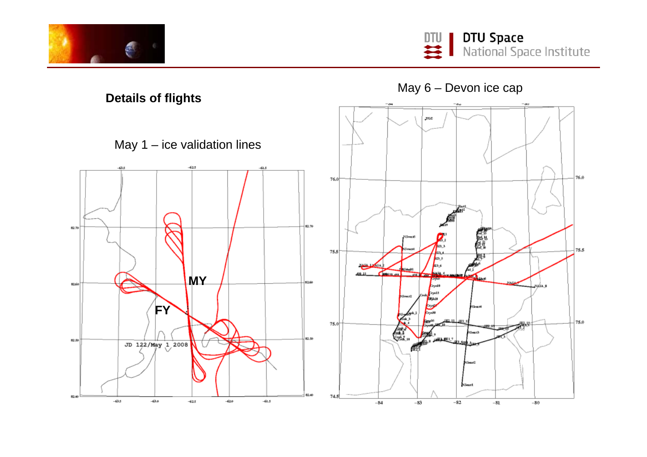



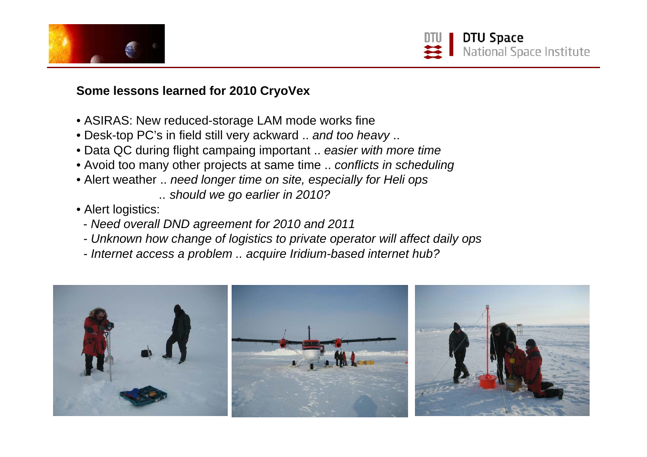

## **Some lessons learned for 2010 CryoVex**

- ASIRAS: New reduced-storage LAM mode works fine
- Desk-top PC's in field still very ackward .. *and too heavy* ..
- Data QC during flight campaing important .. *easier with more time*
- Avoid too many other projects at same time .. *conflicts in scheduling*
- Alert weather .. *need longer time on site, especially for Heli ops*

*.. should we go earlier in 2010?* 

- Alert logistics:
	- *Need overall DND agreement for 2010 and 2011*
	- *- Unknown how change of logistics to private operator will affect daily ops*
	- *- Internet access a problem .. acquire Iridium-based internet hub?*